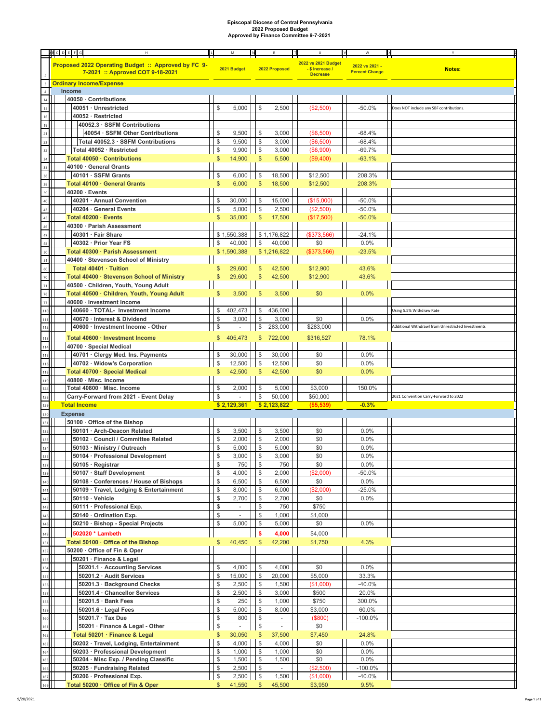## **Episcopal Diocese of Central Pennsylvania 2022 Proposed Budget Approved by Finance Committee 9-7-2021**

|                                                         | <b>ABCDEFG</b><br>H                                 |               | M                        |               |                          |                     | W                     |                                                    |
|---------------------------------------------------------|-----------------------------------------------------|---------------|--------------------------|---------------|--------------------------|---------------------|-----------------------|----------------------------------------------------|
|                                                         |                                                     |               |                          |               |                          |                     |                       |                                                    |
|                                                         | Proposed 2022 Operating Budget :: Approved by FC 9- |               |                          |               |                          | 2022 vs 2021 Budget | 2022 vs 2021 -        |                                                    |
|                                                         | 7-2021 :: Approved COT 9-18-2021                    |               | 2021 Budget              |               | 2022 Proposed            | -\$Increase/        | <b>Percent Change</b> | <b>Notes:</b>                                      |
|                                                         |                                                     |               |                          |               |                          | <b>Decrease</b>     |                       |                                                    |
|                                                         | <b>Ordinary Income/Expense</b>                      |               |                          |               |                          |                     |                       |                                                    |
| $\overline{4}$                                          | Income                                              |               |                          |               |                          |                     |                       |                                                    |
|                                                         | 40050 · Contributions                               |               |                          |               |                          |                     |                       |                                                    |
|                                                         |                                                     |               |                          |               |                          |                     |                       |                                                    |
|                                                         | 40051 · Unrestricted                                | \$            | 5,000                    | \$            | 2,500                    | (\$2,500)           | $-50.0%$              | Does NOT include any SBF contributions.            |
|                                                         | 40052 · Restricted                                  |               |                          |               |                          |                     |                       |                                                    |
|                                                         | 40052.3 · SSFM Contributions                        |               |                          |               |                          |                     |                       |                                                    |
|                                                         | 40054 · SSFM Other Contributions                    |               | 9,500                    | \$            | 3,000                    | (\$6,500)           | $-68.4%$              |                                                    |
|                                                         |                                                     |               |                          |               |                          |                     |                       |                                                    |
|                                                         | Total 40052.3 · SSFM Contributions                  | \$            | 9,500                    | \$            | 3,000                    | (\$6,500)           | $-68.4%$              |                                                    |
| 32                                                      | Total 40052 · Restricted                            | \$            | 9,900                    | \$            | 3,000                    | (\$6,900)           | $-69.7%$              |                                                    |
| 34                                                      | Total 40050 · Contributions                         |               | 14,900                   | \$            | 5,500                    | (\$9,400)           | $-63.1%$              |                                                    |
| 35                                                      | 40100 · General Grants                              |               |                          |               |                          |                     |                       |                                                    |
|                                                         |                                                     |               |                          |               |                          |                     |                       |                                                    |
| 36                                                      | 40101 · SSFM Grants                                 | \$            | 6,000                    | \$            | 18,500                   | \$12,500            | 208.3%                |                                                    |
| 38                                                      | Total 40100 · General Grants                        | \$            | 6,000                    | \$            | 18,500                   | \$12,500            | 208.3%                |                                                    |
| 39                                                      | 40200 · Events                                      |               |                          |               |                          |                     |                       |                                                    |
| 40                                                      | 40201 · Annual Convention                           | \$            | 30,000                   | \$            | 15,000                   | (\$15,000)          | $-50.0%$              |                                                    |
|                                                         |                                                     |               |                          |               |                          |                     |                       |                                                    |
|                                                         | 40204 · General Events                              | $\mathcal{S}$ | 5,000                    | $\sqrt{2}$    | 2,500                    | (\$2,500)           | $-50.0%$              |                                                    |
|                                                         | Total 40200 · Events                                | \$            | 35,000                   | \$            | 17,500                   | (\$17,500)          | $-50.0%$              |                                                    |
|                                                         | 40300 · Parish Assessment                           |               |                          |               |                          |                     |                       |                                                    |
|                                                         | 40301 · Fair Share                                  |               | \$1.550.388              |               | \$1,176,822              | (\$373,566)         | $-24.1%$              |                                                    |
|                                                         | 40302 · Prior Year FS                               | \$            | 40,000                   | \$            | 40,000                   | \$0                 | 0.0%                  |                                                    |
|                                                         |                                                     |               |                          |               |                          |                     |                       |                                                    |
|                                                         | Total 40300 · Parish Assessment                     |               | \$1,590,388              |               | \$1,216,822              | (\$373,566)         | $-23.5%$              |                                                    |
|                                                         | 40400 · Stevenson School of Ministry                |               |                          |               |                          |                     |                       |                                                    |
| 60                                                      | Total 40401 · Tuition                               |               | 29,600                   | S             | 42,500                   | \$12,900            | 43.6%                 |                                                    |
| 70                                                      | Total 40400 · Stevenson School of Ministry          |               | 29,600                   | \$            | 42,500                   | \$12,900            | 43.6%                 |                                                    |
| 7 <sup>1</sup>                                          | 40500 · Children, Youth, Young Adult                |               |                          |               |                          |                     |                       |                                                    |
| 76                                                      |                                                     |               |                          |               |                          |                     |                       |                                                    |
|                                                         | Total 40500 · Children, Youth, Young Adult          | S             | 3,500                    | \$            | 3,500                    | \$0                 | 0.0%                  |                                                    |
| 77                                                      | 40600 · Investment Income                           |               |                          |               |                          |                     |                       |                                                    |
| 110                                                     | 40660 · TOTAL- Investment Income                    | \$            | 402,473                  | \$            | 436,000                  |                     |                       | Using 5.5% Withdraw Rate                           |
|                                                         | 40670 · Interest & Dividend                         | \$            | 3,000                    | \$            | 3,000                    | \$0                 | 0.0%                  |                                                    |
| 112                                                     | 40600 · Investment Income - Other                   | \$            |                          | \$            | 283,000                  | \$283,000           |                       | Additional Withdrawl from Unrestricted Investments |
|                                                         |                                                     |               |                          |               |                          |                     |                       |                                                    |
|                                                         | Total 40600 · Investment Income                     | \$            | 405,473                  | \$            | 722,000                  | \$316,527           | 78.1%                 |                                                    |
|                                                         | 40700 · Special Medical                             |               |                          |               |                          |                     |                       |                                                    |
|                                                         | 40701 · Clergy Med. Ins. Payments                   | \$            | 30,000                   | \$            | 30,000                   | \$0                 | 0.0%                  |                                                    |
|                                                         | 40702 · Widow's Corporation                         | \$            | 12,500                   | \$            | 12,500                   | \$0                 | 0.0%                  |                                                    |
|                                                         |                                                     |               |                          |               |                          |                     |                       |                                                    |
|                                                         | Total 40700 · Special Medical                       | S             | 42,500                   | \$            | 42,500                   | \$0                 | 0.0%                  |                                                    |
|                                                         | 40800 · Misc. Income                                |               |                          |               |                          |                     |                       |                                                    |
|                                                         | Total 40800 · Misc. Income                          | \$            | 2,000                    | \$            | 5,000                    | \$3,000             | 150.0%                |                                                    |
|                                                         | Carry-Forward from 2021 - Event Delay               | \$            |                          | \$            | 50,000                   | \$50,000            |                       | 2021 Convention Carry-Forward to 2022              |
| 129                                                     | <b>Total Income</b>                                 |               | \$2,129,361              |               | \$2,123,822              | ( \$5,539)          | $-0.3%$               |                                                    |
| $130$                                                   | <b>Expense</b>                                      |               |                          |               |                          |                     |                       |                                                    |
| 131                                                     | 50100 · Office of the Bishop                        |               |                          |               |                          |                     |                       |                                                    |
|                                                         |                                                     |               |                          |               |                          |                     |                       |                                                    |
|                                                         | 50101 · Arch-Deacon Related                         | \$            | 3,500                    | \$            | 3,500                    | \$0                 | 0.0%                  |                                                    |
|                                                         | 50102 · Council / Committee Related                 | \$            | 2,000                    | \$            | 2,000                    | \$0                 | 0.0%                  |                                                    |
|                                                         | 50103 · Ministry / Outreach                         | \$            | 5,000                    | \$            | 5,000                    | \$0                 | 0.0%                  |                                                    |
|                                                         | 50104 · Professional Development                    |               | 3,000                    | \$            | 3,000                    | \$0                 | 0.0%                  |                                                    |
|                                                         | 50105 · Registrar                                   | \$            | 750                      | \$            | 750                      | \$0                 | 0.0%                  |                                                    |
|                                                         | 50107 · Staff Development                           | \$            | 4,000                    | \$            | 2,000                    | (\$2,000)           | $-50.0%$              |                                                    |
| 135<br>137<br>139<br>140                                |                                                     |               |                          |               |                          |                     |                       |                                                    |
|                                                         | 50108 · Conferences / House of Bishops              | \$            | 6,500                    | \$            | 6,500                    | \$0                 | 0.0%                  |                                                    |
| $\frac{141}{142}$                                       | 50109 · Travel, Lodging & Entertainment             | \$            | 8,000                    | \$            | 6,000                    | (\$2,000)           | $-25.0%$              |                                                    |
|                                                         | 50110 · Vehicle                                     | \$            | 2,700                    | \$            | 2,700                    | \$0                 | 0.0%                  |                                                    |
| 143<br>146<br>148                                       | 50111 · Professional Exp.                           | \$            | $\overline{\phantom{a}}$ | \$            | 750                      | \$750               |                       |                                                    |
|                                                         | 50140 · Ordination Exp.                             | \$            | $\omega$                 | $\frac{1}{2}$ | 1,000                    | \$1,000             |                       |                                                    |
|                                                         | 50210 · Bishop - Special Projects                   | \$            | 5,000                    | \$            | 5,000                    | \$0                 | 0.0%                  |                                                    |
|                                                         |                                                     |               |                          |               |                          |                     |                       |                                                    |
| 149                                                     | 502020 * Lambeth                                    |               |                          | \$            | 4,000                    | \$4,000             |                       |                                                    |
| <sup>151</sup>                                          | Total 50100 · Office of the Bishop                  | \$            | 40,450                   | $\mathsf{\$}$ | 42,200                   | \$1,750             | 4.3%                  |                                                    |
|                                                         | 50200 · Office of Fin & Oper                        |               |                          |               |                          |                     |                       |                                                    |
| 152<br>153                                              | 50201 · Finance & Legal                             |               |                          |               |                          |                     |                       |                                                    |
| 154                                                     | 50201.1 · Accounting Services                       | \$            | 4,000                    | \$            | 4,000                    | \$0                 | $0.0\%$               |                                                    |
| 155                                                     |                                                     |               |                          |               |                          |                     |                       |                                                    |
|                                                         | 50201.2 · Audit Services                            | \$            | 15,000                   | \$            | 20,000                   | \$5,000             | 33.3%                 |                                                    |
| 156                                                     | 50201.3 · Background Checks                         | \$            | 2,500                    | \$            | 1,500                    | (\$1,000)           | $-40.0%$              |                                                    |
| $\frac{157}{158}$                                       | 50201.4 · Chancellor Services                       | \$            | 2,500                    | \$            | 3,000                    | \$500               | 20.0%                 |                                                    |
|                                                         | $50201.5 \cdot$ Bank Fees                           | \$            | 250                      | \$            | 1,000                    | \$750               | 300.0%                |                                                    |
| 159                                                     | 50201.6 · Legal Fees                                | \$            | 5,000                    | \$            | 8,000                    | \$3,000             | 60.0%                 |                                                    |
| $\overline{160}$                                        | 50201.7 · Tax Due                                   | \$            | 800                      | \$            | $\overline{\phantom{a}}$ | (\$800)             | $-100.0%$             |                                                    |
| 161                                                     | 50201 · Finance & Legal - Other                     | \$            |                          | $\mathbb{S}$  |                          | \$0                 |                       |                                                    |
| $\frac{1}{162}$                                         |                                                     |               | $\sim$                   |               | $\overline{\phantom{a}}$ |                     |                       |                                                    |
|                                                         | Total 50201 · Finance & Legal                       | \$            | 30,050                   | \$            | 37,500                   | \$7,450             | 24.8%                 |                                                    |
| $\begin{array}{c} \n 163 \\ \hline\n 164\n \end{array}$ | 50202 · Travel, Lodging, Entertainment              | \$            | 4,000                    | \$            | 4,000                    | \$0                 | $0.0\%$               |                                                    |
|                                                         | 50203 · Professional Development                    | \$            | 1,000                    | \$            | 1,000                    | \$0                 | 0.0%                  |                                                    |
| 165                                                     | 50204 · Misc Exp. / Pending Classific               | \$            | 1,500                    | \$            | 1,500                    | \$0                 | 0.0%                  |                                                    |
| <b>166</b>                                              | 50205 · Fundraising Related                         | \$            | 2,500                    | \$            | $\overline{\phantom{a}}$ | (\$2,500)           | $-100.0%$             |                                                    |
| 167                                                     | 50206 · Professional Exp.                           | \$            | 2,500                    | \$            | 1,500                    | (\$1,000)           | $-40.0%$              |                                                    |
| 169                                                     |                                                     |               |                          |               |                          |                     |                       |                                                    |
|                                                         | Total 50200 · Office of Fin & Oper                  | \$            | 41,550                   | $\mathbb{S}$  | 45,500                   | \$3,950             | 9.5%                  |                                                    |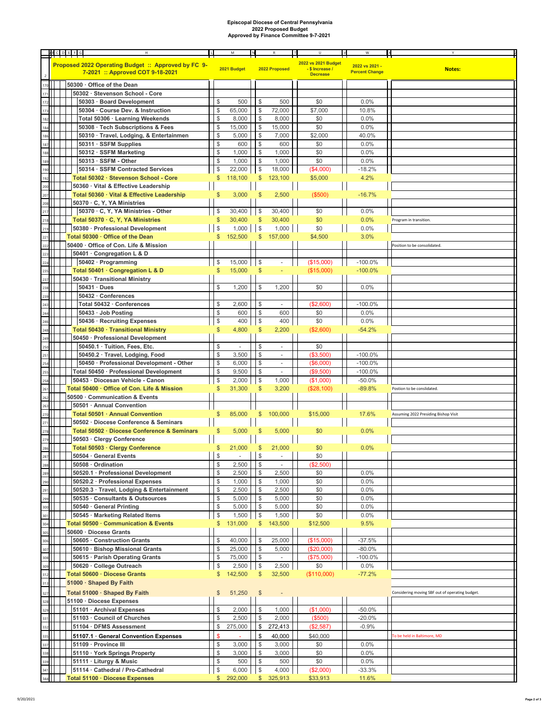## **Episcopal Diocese of Central Pennsylvania 2022 Proposed Budget Approved by Finance Committee 9-7-2021**

|                                                                           | <b>ABCDEFG</b> |  | $\mathsf{H}% _{\mathsf{H}}^{\ast}=\mathsf{H}_{\mathsf{H}}^{\ast}$<br>$\mathsf{L}$       |                | M              |                | $\mathbb{R}$             | $\cup$                                                    | v | W                                       | Ι× |                                                 |
|---------------------------------------------------------------------------|----------------|--|-----------------------------------------------------------------------------------------|----------------|----------------|----------------|--------------------------|-----------------------------------------------------------|---|-----------------------------------------|----|-------------------------------------------------|
|                                                                           |                |  | Proposed 2022 Operating Budget :: Approved by FC 9-<br>7-2021 :: Approved COT 9-18-2021 |                | 2021 Budget    |                | 2022 Proposed            | 2022 vs 2021 Budget<br>- \$ Increase /<br><b>Decrease</b> |   | 2022 vs 2021 -<br><b>Percent Change</b> |    | <b>Notes:</b>                                   |
|                                                                           |                |  | 50300 · Office of the Dean                                                              |                |                |                |                          |                                                           |   |                                         |    |                                                 |
| $171$                                                                     |                |  | 50302 · Stevenson School - Core                                                         |                |                |                |                          |                                                           |   |                                         |    |                                                 |
| 172                                                                       |                |  | 50303 · Board Development                                                               | \$             | 500            | \$             | 500                      | \$0                                                       |   | 0.0%                                    |    |                                                 |
| 173                                                                       |                |  | 50304 · Course Dev. & Instruction                                                       | \$             | 65,000         | \$             | 72,000                   | \$7,000                                                   |   | 10.8%                                   |    |                                                 |
| 182                                                                       |                |  | Total 50306 · Learning Weekends                                                         | \$             | 8,000          | \$             | 8,000                    | \$0                                                       |   | 0.0%                                    |    |                                                 |
| 184                                                                       |                |  | 50308 · Tech Subscriptions & Fees                                                       | \$             | 15,000         | \$             | 15,000                   | \$0                                                       |   | 0.0%                                    |    |                                                 |
| 186                                                                       |                |  | 50310 · Travel, Lodging, & Entertainmen                                                 | \$             | 5,000          | \$             | 7,000                    | \$2,000                                                   |   | 40.0%                                   |    |                                                 |
| 187<br>188                                                                |                |  | 50311 · SSFM Supplies                                                                   | \$             | 600            | \$             | 600                      | \$0                                                       |   | 0.0%                                    |    |                                                 |
| 189                                                                       |                |  | 50312 · SSFM Marketing<br>$50313 \cdot \text{SSEM}$ - Other                             | \$<br>\$       | 1,000<br>1,000 | \$<br>\$       | 1,000<br>1,000           | \$0<br>\$0                                                |   | 0.0%<br>0.0%                            |    |                                                 |
| 190                                                                       |                |  | 50314 · SSFM Contracted Services                                                        | \$             | 22,000         | \$             | 18,000                   | (\$4,000)                                                 |   | $-18.2%$                                |    |                                                 |
| 192                                                                       |                |  | Total 50302 · Stevenson School - Core                                                   | \$             | 118,100        | \$             | 123,100                  | \$5,000                                                   |   | 4.2%                                    |    |                                                 |
| 200                                                                       |                |  | 50360 · Vital & Effective Leadership                                                    |                |                |                |                          |                                                           |   |                                         |    |                                                 |
|                                                                           |                |  | Total 50360 · Vital & Effective Leadership                                              | \$             | 3,000          | \$             | 2,500                    | $(\$500)$                                                 |   | $-16.7%$                                |    |                                                 |
| 207<br>208<br>217                                                         |                |  | 50370 · C, Y, YA Ministries                                                             |                |                |                |                          |                                                           |   |                                         |    |                                                 |
|                                                                           |                |  | 50370 · C, Y, YA Ministries - Other                                                     | \$             | 30,400         | \$             | 30,400                   | \$0                                                       |   | 0.0%                                    |    |                                                 |
| 218                                                                       |                |  | Total 50370 · C, Y, YA Ministries                                                       |                | 30,400         | \$             | 30,400                   | \$0                                                       |   | 0.0%                                    |    | Program in transition.                          |
| 219                                                                       |                |  | 50380 · Professional Development                                                        | \$             | $1,000$   \$   |                | 1,000                    | \$0                                                       |   | 0.0%                                    |    |                                                 |
| 221                                                                       |                |  | Total 50300 · Office of the Dean                                                        | $\mathfrak{S}$ | 152,500        | \$             | 157,000                  | \$4,500                                                   |   | 3.0%                                    |    |                                                 |
| 222                                                                       |                |  | 50400 · Office of Con. Life & Mission                                                   |                |                |                |                          |                                                           |   |                                         |    | Position to be consolidated.                    |
|                                                                           |                |  | 50401 · Congregation L & D                                                              |                |                |                |                          |                                                           |   |                                         |    |                                                 |
| 224                                                                       |                |  | 50402 · Programming                                                                     | \$             | 15,000         | \$             |                          | (\$15,000)                                                |   | $-100.0%$                               |    |                                                 |
| $\frac{1}{235}$                                                           |                |  | Total 50401 · Congregation L & D                                                        | \$             | 15,000         | \$             |                          | (\$15,000)                                                |   | $-100.0%$                               |    |                                                 |
| <sup>237</sup>                                                            |                |  | 50430 · Transitional Ministry                                                           |                |                |                |                          |                                                           |   |                                         |    |                                                 |
| 238                                                                       |                |  | $50431 \cdot Dues$                                                                      | \$             | 1,200          | \$             | 1,200                    | \$0                                                       |   | 0.0%                                    |    |                                                 |
| 239                                                                       |                |  | 50432 · Conferences                                                                     |                |                |                |                          |                                                           |   |                                         |    |                                                 |
| 243                                                                       |                |  | Total 50432 · Conferences                                                               | \$<br>\$       | 2,600          | \$<br>\$       |                          | (\$2,600)                                                 |   | $-100.0%$                               |    |                                                 |
| 244                                                                       |                |  | 50433 · Job Posting                                                                     | $\mathcal{S}$  | 600<br>400     | $\mathbb{S}$   | 600<br>400               | \$0<br>\$0                                                |   | 0.0%<br>0.0%                            |    |                                                 |
| 246<br>248                                                                |                |  | 50436 · Recruiting Expenses<br>Total 50430 · Transitional Ministry                      | \$             | 4,800          | \$             | 2,200                    | (\$2,600)                                                 |   | $-54.2%$                                |    |                                                 |
| 249                                                                       |                |  | 50450 · Professional Development                                                        |                |                |                |                          |                                                           |   |                                         |    |                                                 |
| 250                                                                       |                |  | 50450.1 · Tuition, Fees, Etc.                                                           | \$             | $\blacksquare$ | \$             | $\overline{\phantom{a}}$ | \$0                                                       |   |                                         |    |                                                 |
|                                                                           |                |  | 50450.2 · Travel, Lodging, Food                                                         | \$             | 3,500          | \$             | $\overline{\phantom{a}}$ | (\$3,500)                                                 |   | $-100.0%$                               |    |                                                 |
| $251$<br>$254$                                                            |                |  | 50450 · Professional Development - Other                                                | \$             | 6,000          | \$             | $\overline{\phantom{a}}$ | (\$6,000)                                                 |   | $-100.0%$                               |    |                                                 |
| <b>255</b>                                                                |                |  | Total 50450 · Professional Development                                                  | \$             | 9,500          | \$             | $\sim$                   | (\$9,500)                                                 |   | $-100.0%$                               |    |                                                 |
| 258                                                                       |                |  | 50453 · Diocesan Vehicle - Canon                                                        | \$             | 2,000          | $$\mathbb{S}$$ | 1,000                    | (\$1,000)                                                 |   | $-50.0%$                                |    |                                                 |
| $\frac{1}{261}$                                                           |                |  | Total 50400 · Office of Con. Life & Mission                                             |                | 31,300         | \$             | 3,200                    | (\$28,100)                                                |   | $-89.8%$                                |    | Postion to be conslidated.                      |
| 262                                                                       |                |  | 50500 Communication & Events                                                            |                |                |                |                          |                                                           |   |                                         |    |                                                 |
| 263                                                                       |                |  | 50501 · Annual Convention                                                               |                |                |                |                          |                                                           |   |                                         |    |                                                 |
| 270                                                                       |                |  | Total 50501 · Annual Convention                                                         | \$             | 85,000         | \$             | 100,000                  | \$15,000                                                  |   | 17.6%                                   |    | Assuming 2022 Presiding Bishop Visit            |
| $\frac{10}{271}$                                                          |                |  | 50502 · Diocese Conference & Seminars                                                   |                |                |                |                          |                                                           |   |                                         |    |                                                 |
| 278                                                                       |                |  | Total 50502 · Diocese Conference & Seminars                                             |                | 5,000          | S              | 5,000                    | \$0                                                       |   | 0.0%                                    |    |                                                 |
| 279                                                                       |                |  | 50503 · Clergy Conference                                                               |                |                |                |                          |                                                           |   |                                         |    |                                                 |
| 286                                                                       |                |  | Total 50503 · Clergy Conference                                                         | \$             | 21,000         | \$             | 21,000                   | \$0                                                       |   | 0.0%                                    |    |                                                 |
|                                                                           |                |  | 50504 · General Events<br>50508 · Ordination                                            | \$<br>\$       | 2,500          | \$<br>\$       | $\overline{\phantom{a}}$ | \$0<br>(\$2,500)                                          |   |                                         |    |                                                 |
| 288<br>289<br>291<br>291<br>291<br>304<br>304<br>305<br>306<br>307<br>308 |                |  | 50520.1 · Professional Development                                                      | \$             | 2,500          | \$             | 2,500                    | \$0                                                       |   | 0.0%                                    |    |                                                 |
|                                                                           |                |  | 50520.2 · Professional Expenses                                                         | \$             | 1,000          | \$             | 1,000                    | \$0                                                       |   | 0.0%                                    |    |                                                 |
|                                                                           |                |  | 50520.3 · Travel, Lodging & Entertainment                                               | $\frac{1}{2}$  | 2,500          | \$             | 2,500                    | \$0                                                       |   | 0.0%                                    |    |                                                 |
|                                                                           |                |  | 50535 · Consultants & Outsources                                                        | $\frac{1}{2}$  | 5,000          | \$             | 5,000                    | \$0                                                       |   | 0.0%                                    |    |                                                 |
|                                                                           |                |  | 50540 · General Printing                                                                | \$             | 5,000          | \$             | 5,000                    | \$0                                                       |   | 0.0%                                    |    |                                                 |
|                                                                           |                |  | 50545 · Marketing Related Items                                                         | $\frac{1}{2}$  | 1,500          | \$             | 1,500                    | \$0                                                       |   | 0.0%                                    |    |                                                 |
|                                                                           |                |  | Total 50500 · Communication & Events                                                    | $\mathcal{L}$  | 131,000        | \$             | 143,500                  | \$12,500                                                  |   | 9.5%                                    |    |                                                 |
|                                                                           |                |  | 50600 · Diocese Grants                                                                  |                |                |                |                          |                                                           |   |                                         |    |                                                 |
|                                                                           |                |  | 50605 · Construction Grants                                                             | \$             | 40,000         | \$             | 25,000                   | (\$15,000)                                                |   | $-37.5%$                                |    |                                                 |
|                                                                           |                |  | 50610 · Bishop Missional Grants                                                         | \$             | 25,000         | \$             | 5,000                    | (\$20,000)                                                |   | $-80.0%$                                |    |                                                 |
|                                                                           |                |  | 50615 · Parish Operating Grants                                                         | \$             | 75,000         | \$             |                          | (\$75,000)                                                |   | $-100.0%$                               |    |                                                 |
|                                                                           |                |  | 50620 · College Outreach                                                                | $\frac{1}{2}$  | 2,500          | \$             | 2,500                    | \$0                                                       |   | 0.0%                                    |    |                                                 |
|                                                                           |                |  | Total 50600 · Diocese Grants                                                            | \$             | 142,500        | \$             | 32,500                   | (\$110,000)                                               |   | $-77.2%$                                |    |                                                 |
|                                                                           |                |  | 51000 · Shaped By Faith                                                                 |                |                |                |                          |                                                           |   |                                         |    |                                                 |
|                                                                           |                |  | Total 51000 · Shaped By Faith                                                           | \$             | 51,250         | \$             |                          |                                                           |   |                                         |    | Considering moving SBF out of operating budget. |
|                                                                           |                |  | 51100 · Diocese Expenses                                                                |                |                |                |                          |                                                           |   |                                         |    |                                                 |
|                                                                           |                |  | 51101 · Archival Expenses                                                               | $\frac{1}{2}$  | 2,000          | \$             | 1,000                    | (\$1,000)                                                 |   | $-50.0%$                                |    |                                                 |
|                                                                           |                |  | 51103 · Council of Churches                                                             | \$<br>\$       | 2,500          | \$             | 2,000                    | (\$500)                                                   |   | $-20.0%$<br>$-0.9%$                     |    |                                                 |
|                                                                           |                |  | 51104 · DFMS Assessment                                                                 |                | 275,000        | \$             | 272,413                  | (\$2,587)                                                 |   |                                         |    |                                                 |
|                                                                           |                |  | 51107.1 · General Convention Expenses                                                   | \$             |                | \$             | 40,000                   | \$40,000                                                  |   |                                         |    | To be held in Baltimore, MD                     |
| 312<br>313<br>327<br>328<br>331<br>332<br>335<br>337<br>338               |                |  | 51109 · Province III<br>51110 · York Springs Property                                   | \$<br>\$       | 3,000<br>3,000 | \$<br>\$       | 3,000<br>3,000           | \$0<br>\$0                                                |   | 0.0%<br>0.0%                            |    |                                                 |
| 339                                                                       |                |  | 51111 · Liturgy & Music                                                                 | \$             | 500            | \$             | 500                      | \$0                                                       |   | 0.0%                                    |    |                                                 |
|                                                                           |                |  | 51114 · Cathedral / Pro-Cathedral                                                       | \$             | 6,000          | \$             | 4,000                    | (\$2,000)                                                 |   | $-33.3%$                                |    |                                                 |
|                                                                           |                |  | Total 51100 · Diocese Expenses                                                          | $\mathfrak{S}$ | 292,000        | $\mathfrak{S}$ | 325,913                  | \$33,913                                                  |   | 11.6%                                   |    |                                                 |